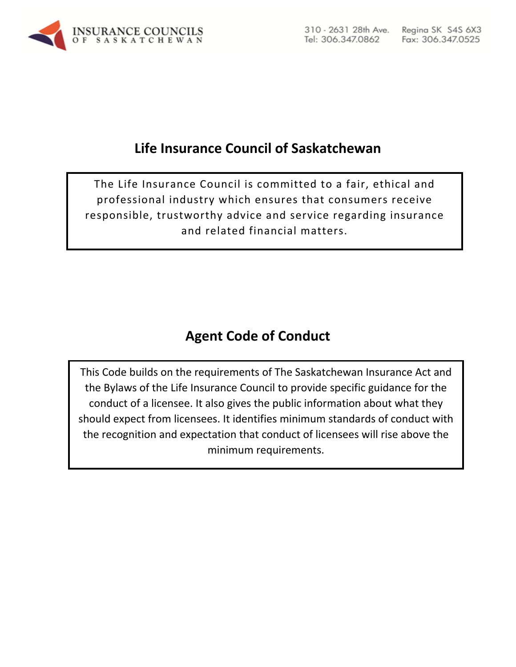

# **Life Insurance Council of Saskatchewan**

The Life Insurance Council is committed to a fair, ethical and professional industry which ensures that consumers receive responsible, trustworthy advice and service regarding insurance and related financial matters.

# **Agent Code of Conduct**

This Code builds on the requirements of The Saskatchewan Insurance Act and the Bylaws of the Life Insurance Council to provide specific guidance for the conduct of a licensee. It also gives the public information about what they should expect from licensees. It identifies minimum standards of conduct with the recognition and expectation that conduct of licensees will rise above the minimum requirements.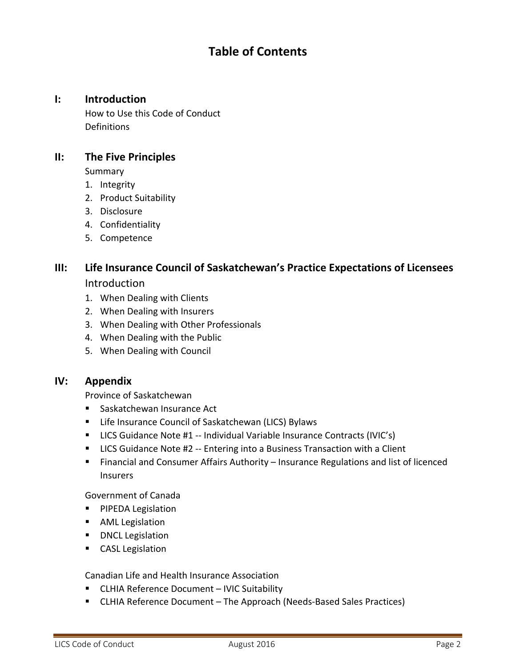# **Table of Contents**

### **I: Introduction**

How to Use this Code of Conduct **Definitions** 

### **II: The Five Principles**

Summary

- 1. Integrity
- 2. Product Suitability
- 3. Disclosure
- 4. Confidentiality
- 5. Competence

# **III: Life Insurance Council of Saskatchewan's Practice Expectations of Licensees**

Introduction

- 1. When Dealing with Clients
- 2. When Dealing with Insurers
- 3. When Dealing with Other Professionals
- 4. When Dealing with the Public
- 5. When Dealing with Council

### **IV: Appendix**

Province of Saskatchewan

- Saskatchewan Insurance Act
- Life Insurance Council of Saskatchewan (LICS) Bylaws
- LICS Guidance Note #1 -- Individual Variable Insurance Contracts (IVIC's)
- **LICS Guidance Note #2 -- Entering into a Business Transaction with a Client**
- Financial and Consumer Affairs Authority Insurance Regulations and list of licenced Insurers

Government of Canada

- **PIPEDA Legislation**
- **AML** Legislation
- **DNCL Legislation**
- **CASL Legislation**

Canadian Life and Health Insurance Association

- CLHIA Reference Document IVIC Suitability
- CLHIA Reference Document The Approach (Needs-Based Sales Practices)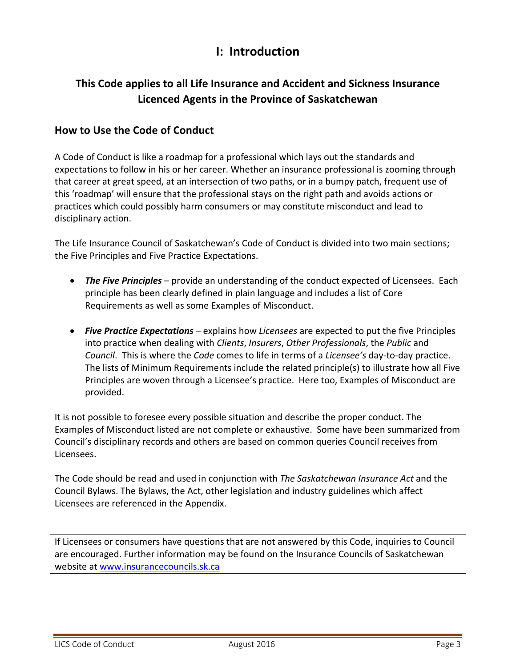# **I: Introduction**

# **This Code applies to all Life Insurance and Accident and Sickness Insurance Licenced Agents in the Province of Saskatchewan**

# **How to Use the Code of Conduct**

A Code of Conduct is like a roadmap for a professional which lays out the standards and expectations to follow in his or her career. Whether an insurance professional is zooming through that career at great speed, at an intersection of two paths, or in a bumpy patch, frequent use of this 'roadmap' will ensure that the professional stays on the right path and avoids actions or practices which could possibly harm consumers or may constitute misconduct and lead to disciplinary action.

The Life Insurance Council of Saskatchewan's Code of Conduct is divided into two main sections; the Five Principles and Five Practice Expectations.

- *The Five Principles* provide an understanding of the conduct expected of Licensees. Each principle has been clearly defined in plain language and includes a list of Core Requirements as well as some Examples of Misconduct.
- *Five Practice Expectations* explains how *Licensees* are expected to put the five Principles into practice when dealing with *Clients*, *Insurers*, *Other Professionals*, the *Public* and *Council*. This is where the *Code* comes to life in terms of a *Licensee's* day-to-day practice. The lists of Minimum Requirements include the related principle(s) to illustrate how all Five Principles are woven through a Licensee's practice. Here too, Examples of Misconduct are provided.

It is not possible to foresee every possible situation and describe the proper conduct. The Examples of Misconduct listed are not complete or exhaustive. Some have been summarized from Council's disciplinary records and others are based on common queries Council receives from Licensees.

The Code should be read and used in conjunction with *The Saskatchewan Insurance Act* and the Council Bylaws. The Bylaws, the Act, other legislation and industry guidelines which affect Licensees are referenced in the Appendix.

If Licensees or consumers have questions that are not answered by this Code, inquiries to Council are encouraged. Further information may be found on the Insurance Councils of Saskatchewan website at [www.insurancecouncils.sk.ca](http://www.insurancecouncils.sk.ca/)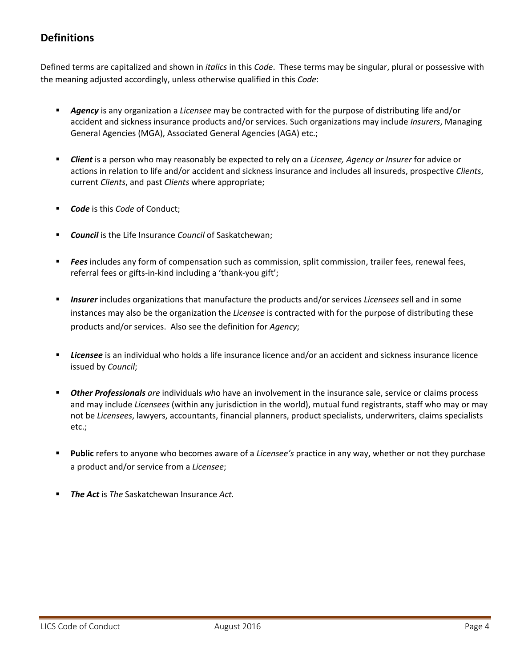# **Definitions**

Defined terms are capitalized and shown in *italics* in this *Code*. These terms may be singular, plural or possessive with the meaning adjusted accordingly, unless otherwise qualified in this *Code*:

- *Agency* is any organization a *Licensee* may be contracted with for the purpose of distributing life and/or accident and sickness insurance products and/or services. Such organizations may include *Insurers*, Managing General Agencies (MGA), Associated General Agencies (AGA) etc.;
- *Client* is a person who may reasonably be expected to rely on a *Licensee, Agency or Insurer* for advice or actions in relation to life and/or accident and sickness insurance and includes all insureds, prospective *Clients*, current *Clients*, and past *Clients* where appropriate;
- *Code* is this *Code* of Conduct;
- *Council* is the Life Insurance *Council* of Saskatchewan;
- **Fees** includes any form of compensation such as commission, split commission, trailer fees, renewal fees, referral fees or gifts-in-kind including a 'thank-you gift';
- *Insurer* includes organizations that manufacture the products and/or services *Licensees* sell and in some instances may also be the organization the *Licensee* is contracted with for the purpose of distributing these products and/or services. Also see the definition for *Agency*;
- *Licensee* is an individual who holds a life insurance licence and/or an accident and sickness insurance licence issued by *Council*;
- *Other Professionals are* individuals *wh*o have an involvement in the insurance sale, service or claims process and may include *Licensees* (within any jurisdiction in the world), mutual fund registrants, staff who may or may not be *Licensees*, lawyers, accountants, financial planners, product specialists, underwriters, claims specialists etc.;
- **Public** refers to anyone who becomes aware of a *Licensee's* practice in any way, whether or not they purchase a product and/or service from a *Licensee*;
- *The Act* is *The* Saskatchewan Insurance *Act.*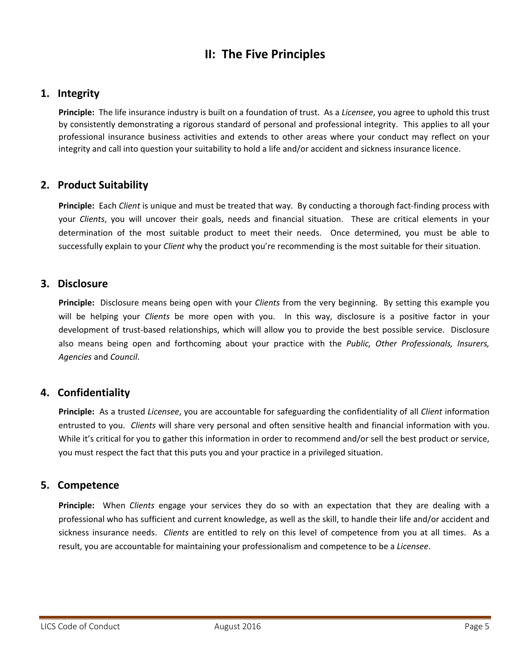# **II: The Five Principles**

### **1. Integrity**

**Principle:** The life insurance industry is built on a foundation of trust. As a *Licensee*, you agree to uphold this trust by consistently demonstrating a rigorous standard of personal and professional integrity. This applies to all your professional insurance business activities and extends to other areas where your conduct may reflect on your integrity and call into question your suitability to hold a life and/or accident and sickness insurance licence.

### **2. Product Suitability**

**Principle:** Each *Client* is unique and must be treated that way. By conducting a thorough fact-finding process with your *Clients*, you will uncover their goals, needs and financial situation. These are critical elements in your determination of the most suitable product to meet their needs. Once determined, you must be able to successfully explain to your *Client* why the product you're recommending is the most suitable for their situation.

### **3. Disclosure**

**Principle:** Disclosure means being open with your *Clients* from the very beginning. By setting this example you will be helping your *Clients* be more open with you. In this way, disclosure is a positive factor in your development of trust-based relationships, which will allow you to provide the best possible service. Disclosure also means being open and forthcoming about your practice with the *Public, Other Professionals, Insurers, Agencies* and *Council*.

# **4. Confidentiality**

**Principle:** As a trusted *Licensee*, you are accountable for safeguarding the confidentiality of all *Client* information entrusted to you. *Clients* will share very personal and often sensitive health and financial information with you. While it's critical for you to gather this information in order to recommend and/or sell the best product or service, you must respect the fact that this puts you and your practice in a privileged situation.

### **5. Competence**

**Principle:** When *Clients* engage your services they do so with an expectation that they are dealing with a professional who has sufficient and current knowledge, as well as the skill, to handle their life and/or accident and sickness insurance needs. *Clients* are entitled to rely on this level of competence from you at all times. As a result, you are accountable for maintaining your professionalism and competence to be a *Licensee*.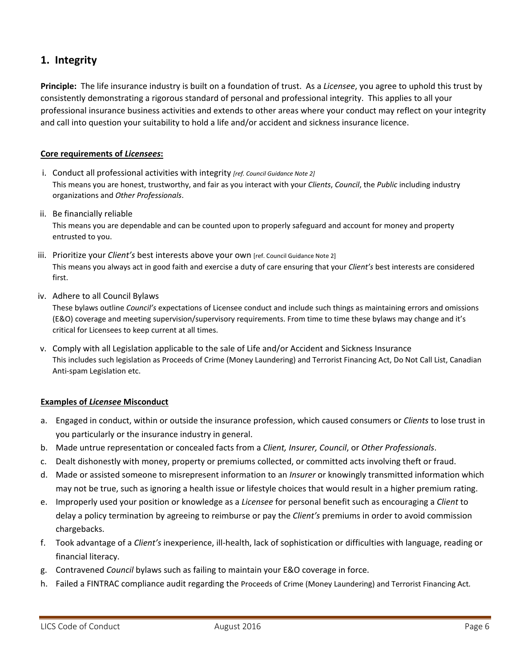# **1. Integrity**

**Principle:** The life insurance industry is built on a foundation of trust. As a *Licensee*, you agree to uphold this trust by consistently demonstrating a rigorous standard of personal and professional integrity. This applies to all your professional insurance business activities and extends to other areas where your conduct may reflect on your integrity and call into question your suitability to hold a life and/or accident and sickness insurance licence.

#### **Core requirements of** *Licensees***:**

- i. Conduct all professional activities with integrity *[ref. Council Guidance Note 2]* This means you are honest, trustworthy, and fair as you interact with your *Clients*, *Council*, the *Public* including industry organizations and *Other Professionals*.
- ii. Be financially reliable

This means you are dependable and can be counted upon to properly safeguard and account for money and property entrusted to you.

- iii. Prioritize your *Client's* best interests above your own [ref. Council Guidance Note 2] This means you always act in good faith and exercise a duty of care ensuring that your *Client's* best interests are considered first.
- iv. Adhere to all Council Bylaws

These bylaws outline *Council's* expectations of Licensee conduct and include such things as maintaining errors and omissions (E&O) coverage and meeting supervision/supervisory requirements. From time to time these bylaws may change and it's critical for Licensees to keep current at all times.

v. Comply with all Legislation applicable to the sale of Life and/or Accident and Sickness Insurance This includes such legislation as Proceeds of Crime (Money Laundering) and Terrorist Financing Act, Do Not Call List, Canadian Anti-spam Legislation etc.

- a. Engaged in conduct, within or outside the insurance profession, which caused consumers or *Clients* to lose trust in you particularly or the insurance industry in general.
- b. Made untrue representation or concealed facts from a *Client, Insurer, Council*, or *Other Professionals*.
- c. Dealt dishonestly with money, property or premiums collected, or committed acts involving theft or fraud.
- d. Made or assisted someone to misrepresent information to an *Insurer* or knowingly transmitted information which may not be true, such as ignoring a health issue or lifestyle choices that would result in a higher premium rating.
- e. Improperly used your position or knowledge as a *Licensee* for personal benefit such as encouraging a *Client* to delay a policy termination by agreeing to reimburse or pay the *Client's* premiums in order to avoid commission chargebacks.
- f. Took advantage of a *Client's* inexperience, ill-health, lack of sophistication or difficulties with language, reading or financial literacy.
- g. Contravened *Council* bylaws such as failing to maintain your E&O coverage in force.
- h. Failed a FINTRAC compliance audit regarding the Proceeds of Crime (Money Laundering) and Terrorist Financing Act*.*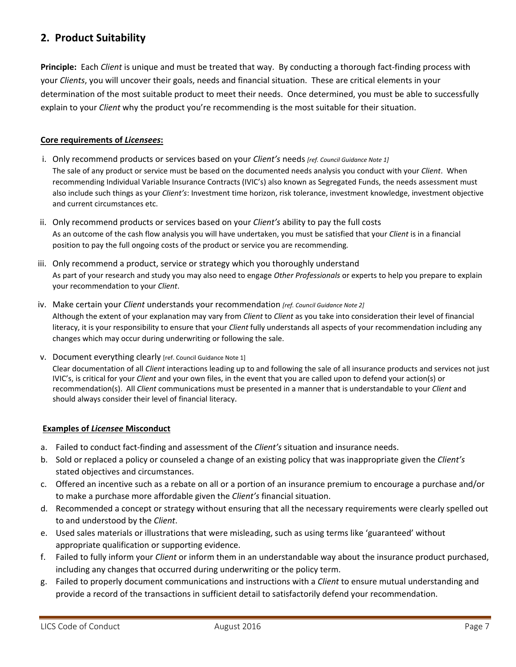# **2. Product Suitability**

**Principle:** Each *Client* is unique and must be treated that way. By conducting a thorough fact-finding process with your *Clients*, you will uncover their goals, needs and financial situation. These are critical elements in your determination of the most suitable product to meet their needs. Once determined, you must be able to successfully explain to your *Client* why the product you're recommending is the most suitable for their situation.

#### **Core requirements of** *Licensees***:**

- i. Only recommend products or services based on your *Client's* needs *[ref. Council Guidance Note 1]* The sale of any product or service must be based on the documented needs analysis you conduct with your *Client*. When recommending Individual Variable Insurance Contracts (IVIC's) also known as Segregated Funds, the needs assessment must also include such things as your *Client's*: Investment time horizon, risk tolerance, investment knowledge, investment objective and current circumstances etc.
- ii. Only recommend products or services based on your *Client's* ability to pay the full costs As an outcome of the cash flow analysis you will have undertaken, you must be satisfied that your *Client* is in a financial position to pay the full ongoing costs of the product or service you are recommending*.*
- iii. Only recommend a product, service or strategy which you thoroughly understand As part of your research and study you may also need to engage *Other Professionals* or experts to help you prepare to explain your recommendation to your *Client*.
- iv. Make certain your *Client* understands your recommendation *[ref. Council Guidance Note 2]* Although the extent of your explanation may vary from *Client* to *Client* as you take into consideration their level of financial literacy, it is your responsibility to ensure that your *Client* fully understands all aspects of your recommendation including any changes which may occur during underwriting or following the sale.
- v. Document everything clearly [ref. Council Guidance Note 1] Clear documentation of all *Client* interactions leading up to and following the sale of all insurance products and services not just IVIC's, is critical for your *Client* and your own files, in the event that you are called upon to defend your action(s) or recommendation(s). All *Client* communications must be presented in a manner that is understandable to your *Client* and should always consider their level of financial literacy.

- a. Failed to conduct fact-finding and assessment of the *Client's* situation and insurance needs.
- b. Sold or replaced a policy or counseled a change of an existing policy that was inappropriate given the *Client's* stated objectives and circumstances.
- c. Offered an incentive such as a rebate on all or a portion of an insurance premium to encourage a purchase and/or to make a purchase more affordable given the *Client's* financial situation.
- d. Recommended a concept or strategy without ensuring that all the necessary requirements were clearly spelled out to and understood by the *Client*.
- e. Used sales materials or illustrations that were misleading, such as using terms like 'guaranteed' without appropriate qualification or supporting evidence.
- f. Failed to fully inform your *Client* or inform them in an understandable way about the insurance product purchased, including any changes that occurred during underwriting or the policy term.
- g. Failed to properly document communications and instructions with a *Client* to ensure mutual understanding and provide a record of the transactions in sufficient detail to satisfactorily defend your recommendation.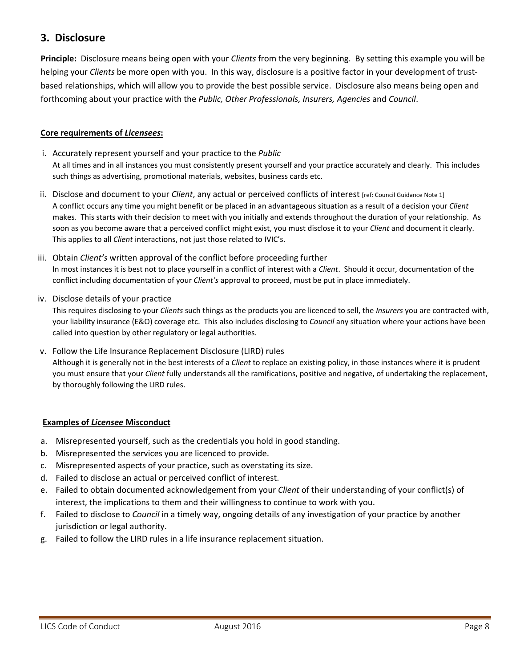# **3. Disclosure**

**Principle:** Disclosure means being open with your *Clients* from the very beginning. By setting this example you will be helping your *Clients* be more open with you. In this way, disclosure is a positive factor in your development of trustbased relationships, which will allow you to provide the best possible service. Disclosure also means being open and forthcoming about your practice with the *Public, Other Professionals, Insurers, Agencies* and *Council*.

#### **Core requirements of** *Licensees***:**

- i. Accurately represent yourself and your practice to the *Public* At all times and in all instances you must consistently present yourself and your practice accurately and clearly. This includes such things as advertising, promotional materials, websites, business cards etc.
- ii. Disclose and document to your *Client*, any actual or perceived conflicts of interest [ref: Council Guidance Note 1] A conflict occurs any time you might benefit or be placed in an advantageous situation as a result of a decision your *Client* makes. This starts with their decision to meet with you initially and extends throughout the duration of your relationship. As soon as you become aware that a perceived conflict might exist, you must disclose it to your *Client* and document it clearly. This applies to all *Client* interactions, not just those related to IVIC's.
- iii. Obtain *Client's* written approval of the conflict before proceeding further In most instances it is best not to place yourself in a conflict of interest with a *Client*. Should it occur, documentation of the conflict including documentation of your *Client's* approval to proceed, must be put in place immediately.
- iv. Disclose details of your practice

This requires disclosing to your *Clients* such things as the products you are licenced to sell, the *Insurers* you are contracted with, your liability insurance (E&O) coverage etc. This also includes disclosing to *Council* any situation where your actions have been called into question by other regulatory or legal authorities.

v. Follow the Life Insurance Replacement Disclosure (LIRD) rules Although it is generally not in the best interests of a *Client* to replace an existing policy, in those instances where it is prudent you must ensure that your *Client* fully understands all the ramifications, positive and negative, of undertaking the replacement, by thoroughly following the LIRD rules.

- a. Misrepresented yourself, such as the credentials you hold in good standing.
- b. Misrepresented the services you are licenced to provide.
- c. Misrepresented aspects of your practice, such as overstating its size.
- d. Failed to disclose an actual or perceived conflict of interest.
- e. Failed to obtain documented acknowledgement from your *Client* of their understanding of your conflict(s) of interest, the implications to them and their willingness to continue to work with you.
- f. Failed to disclose to *Council* in a timely way, ongoing details of any investigation of your practice by another jurisdiction or legal authority.
- g. Failed to follow the LIRD rules in a life insurance replacement situation.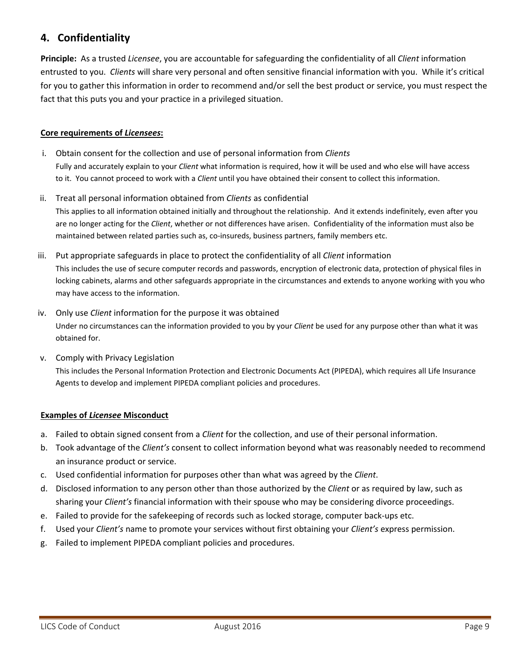# **4. Confidentiality**

**Principle:** As a trusted *Licensee*, you are accountable for safeguarding the confidentiality of all *Client* information entrusted to you. *Clients* will share very personal and often sensitive financial information with you. While it's critical for you to gather this information in order to recommend and/or sell the best product or service, you must respect the fact that this puts you and your practice in a privileged situation.

#### **Core requirements of** *Licensees***:**

- i. Obtain consent for the collection and use of personal information from *Clients* Fully and accurately explain to your *Client* what information is required, how it will be used and who else will have access to it. You cannot proceed to work with a *Client* until you have obtained their consent to collect this information.
- ii. Treat all personal information obtained from *Clients* as confidential This applies to all information obtained initially and throughout the relationship. And it extends indefinitely, even after you are no longer acting for the *Client*, whether or not differences have arisen. Confidentiality of the information must also be maintained between related parties such as, co-insureds, business partners, family members etc.
- iii. Put appropriate safeguards in place to protect the confidentiality of all *Client* information This includes the use of secure computer records and passwords, encryption of electronic data, protection of physical files in locking cabinets, alarms and other safeguards appropriate in the circumstances and extends to anyone working with you who may have access to the information.
- iv. Only use *Client* information for the purpose it was obtained Under no circumstances can the information provided to you by your *Client* be used for any purpose other than what it was obtained for.
- v. Comply with Privacy Legislation This includes the Personal Information Protection and Electronic Documents Act (PIPEDA), which requires all Life Insurance Agents to develop and implement PIPEDA compliant policies and procedures.

- a. Failed to obtain signed consent from a *Client* for the collection, and use of their personal information.
- b. Took advantage of the *Client's* consent to collect information beyond what was reasonably needed to recommend an insurance product or service.
- c. Used confidential information for purposes other than what was agreed by the *Client*.
- d. Disclosed information to any person other than those authorized by the *Client* or as required by law, such as sharing your *Client's* financial information with their spouse who may be considering divorce proceedings.
- e. Failed to provide for the safekeeping of records such as locked storage, computer back-ups etc.
- f. Used your *Client's* name to promote your services without first obtaining your *Client's* express permission.
- g. Failed to implement PIPEDA compliant policies and procedures.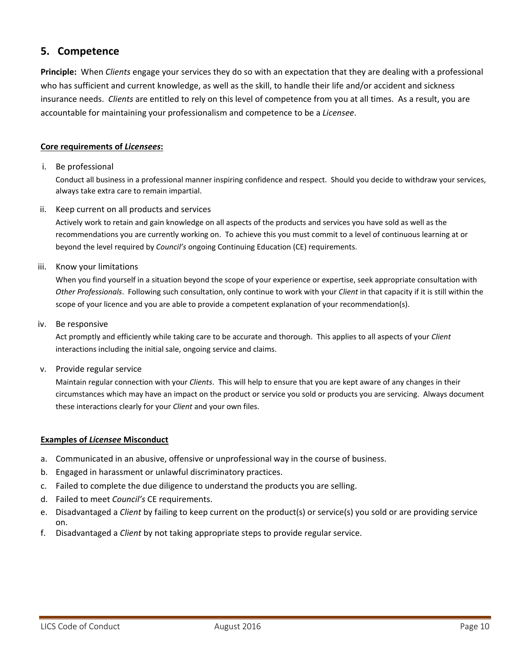### **5. Competence**

**Principle:** When *Clients* engage your services they do so with an expectation that they are dealing with a professional who has sufficient and current knowledge, as well as the skill, to handle their life and/or accident and sickness insurance needs. *Clients* are entitled to rely on this level of competence from you at all times. As a result, you are accountable for maintaining your professionalism and competence to be a *Licensee*.

#### **Core requirements of** *Licensees***:**

i. Be professional

Conduct all business in a professional manner inspiring confidence and respect. Should you decide to withdraw your services, always take extra care to remain impartial.

ii. Keep current on all products and services

Actively work to retain and gain knowledge on all aspects of the products and services you have sold as well as the recommendations you are currently working on. To achieve this you must commit to a level of continuous learning at or beyond the level required by *Council's* ongoing Continuing Education (CE) requirements.

iii. Know your limitations

When you find yourself in a situation beyond the scope of your experience or expertise, seek appropriate consultation with *Other Professionals*. Following such consultation, only continue to work with your *Client* in that capacity if it is still within the scope of your licence and you are able to provide a competent explanation of your recommendation(s).

iv. Be responsive

Act promptly and efficiently while taking care to be accurate and thorough. This applies to all aspects of your *Client* interactions including the initial sale, ongoing service and claims.

v. Provide regular service

Maintain regular connection with your *Clients*. This will help to ensure that you are kept aware of any changes in their circumstances which may have an impact on the product or service you sold or products you are servicing. Always document these interactions clearly for your *Client* and your own files.

- a. Communicated in an abusive, offensive or unprofessional way in the course of business.
- b. Engaged in harassment or unlawful discriminatory practices.
- c. Failed to complete the due diligence to understand the products you are selling.
- d. Failed to meet *Council's* CE requirements.
- e. Disadvantaged a *Client* by failing to keep current on the product(s) or service(s) you sold or are providing service on.
- f. Disadvantaged a *Client* by not taking appropriate steps to provide regular service.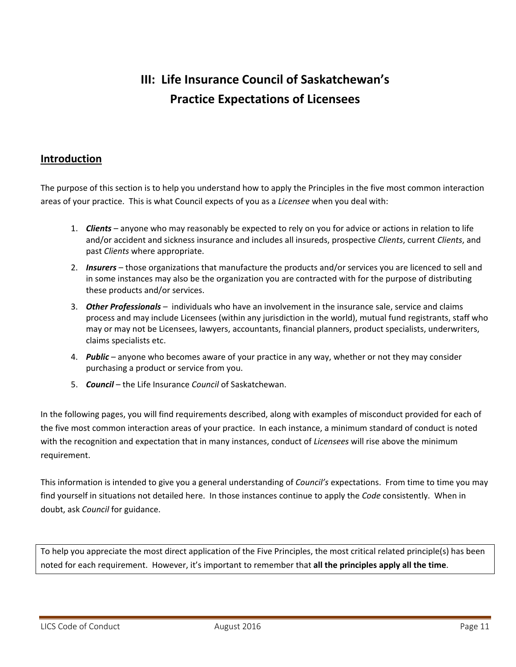# **III: Life Insurance Council of Saskatchewan's Practice Expectations of Licensees**

## **Introduction**

The purpose of this section is to help you understand how to apply the Principles in the five most common interaction areas of your practice. This is what Council expects of you as a *Licensee* when you deal with:

- 1. *Clients* anyone who may reasonably be expected to rely on you for advice or actions in relation to life and/or accident and sickness insurance and includes all insureds, prospective *Clients*, current *Clients*, and past *Clients* where appropriate.
- 2. *Insurers* those organizations that manufacture the products and/or services you are licenced to sell and in some instances may also be the organization you are contracted with for the purpose of distributing these products and/or services.
- 3. *Other Professionals* individuals who have an involvement in the insurance sale, service and claims process and may include Licensees (within any jurisdiction in the world), mutual fund registrants, staff who may or may not be Licensees, lawyers, accountants, financial planners, product specialists, underwriters, claims specialists etc.
- 4. *Public* anyone who becomes aware of your practice in any way, whether or not they may consider purchasing a product or service from you.
- 5. *Council* the Life Insurance *Council* of Saskatchewan.

In the following pages, you will find requirements described, along with examples of misconduct provided for each of the five most common interaction areas of your practice. In each instance, a minimum standard of conduct is noted with the recognition and expectation that in many instances, conduct of *Licensees* will rise above the minimum requirement.

This information is intended to give you a general understanding of *Council's* expectations. From time to time you may find yourself in situations not detailed here. In those instances continue to apply the *Code* consistently. When in doubt, ask *Council* for guidance.

To help you appreciate the most direct application of the Five Principles, the most critical related principle(s) has been noted for each requirement. However, it's important to remember that **all the principles apply all the time**.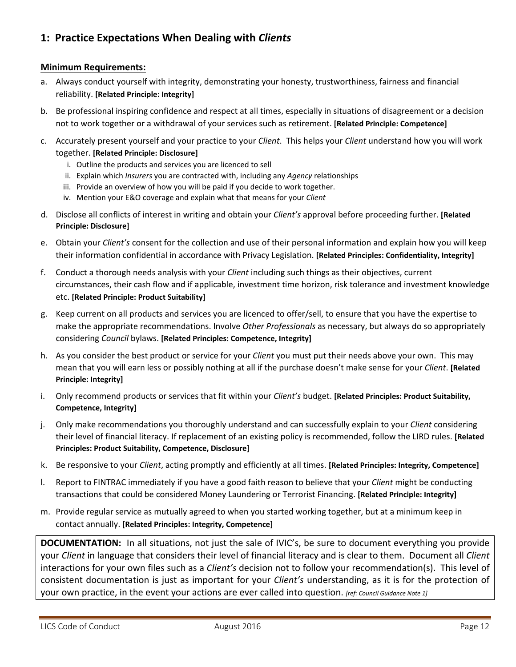# **1: Practice Expectations When Dealing with** *Clients*

#### **Minimum Requirements:**

- a. Always conduct yourself with integrity, demonstrating your honesty, trustworthiness, fairness and financial reliability. **[Related Principle: Integrity]**
- b. Be professional inspiring confidence and respect at all times, especially in situations of disagreement or a decision not to work together or a withdrawal of your services such as retirement. **[Related Principle: Competence]**
- c. Accurately present yourself and your practice to your *Client*. This helps your *Client* understand how you will work together. **[Related Principle: Disclosure]**
	- i. Outline the products and services you are licenced to sell
	- ii. Explain which *Insurers* you are contracted with, including any *Agency* relationships
	- iii. Provide an overview of how you will be paid if you decide to work together.
	- iv. Mention your E&O coverage and explain what that means for your *Client*
- d. Disclose all conflicts of interest in writing and obtain your *Client's* approval before proceeding further. **[Related Principle: Disclosure]**
- e. Obtain your *Client's* consent for the collection and use of their personal information and explain how you will keep their information confidential in accordance with Privacy Legislation. **[Related Principles: Confidentiality, Integrity]**
- f. Conduct a thorough needs analysis with your *Client* including such things as their objectives, current circumstances, their cash flow and if applicable, investment time horizon, risk tolerance and investment knowledge etc. **[Related Principle: Product Suitability]**
- g. Keep current on all products and services you are licenced to offer/sell, to ensure that you have the expertise to make the appropriate recommendations. Involve *Other Professionals* as necessary, but always do so appropriately considering *Council* bylaws. **[Related Principles: Competence, Integrity]**
- h. As you consider the best product or service for your *Client* you must put their needs above your own. This may mean that you will earn less or possibly nothing at all if the purchase doesn't make sense for your *Client*. **[Related Principle: Integrity]**
- i. Only recommend products or services that fit within your *Client's* budget. **[Related Principles: Product Suitability, Competence, Integrity]**
- j. Only make recommendations you thoroughly understand and can successfully explain to your *Client* considering their level of financial literacy. If replacement of an existing policy is recommended, follow the LIRD rules. **[Related Principles: Product Suitability, Competence, Disclosure]**
- k. Be responsive to your *Client*, acting promptly and efficiently at all times. **[Related Principles: Integrity, Competence]**
- l. Report to FINTRAC immediately if you have a good faith reason to believe that your *Client* might be conducting transactions that could be considered Money Laundering or Terrorist Financing. **[Related Principle: Integrity]**
- m. Provide regular service as mutually agreed to when you started working together, but at a minimum keep in contact annually. **[Related Principles: Integrity, Competence]**

**DOCUMENTATION:** In all situations, not just the sale of IVIC's, be sure to document everything you provide your *Client* in language that considers their level of financial literacy and is clear to them. Document all *Client* interactions for your own files such as a *Client's* decision not to follow your recommendation(s). This level of consistent documentation is just as important for your *Client's* understanding, as it is for the protection of your own practice, in the event your actions are ever called into question. *[ref: Council Guidance Note 1]*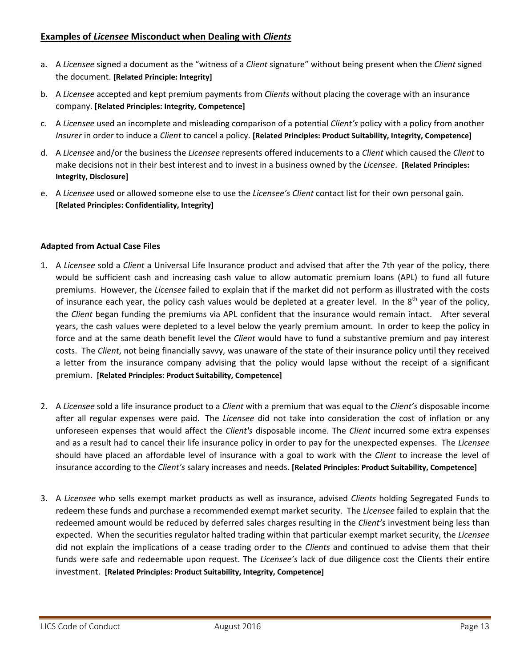#### **Examples of** *Licensee* **Misconduct when Dealing with** *Clients*

- a. A *Licensee* signed a document as the "witness of a *Client* signature" without being present when the *Client* signed the document. **[Related Principle: Integrity]**
- b. A *Licensee* accepted and kept premium payments from *Clients* without placing the coverage with an insurance company. **[Related Principles: Integrity, Competence]**
- c. A *Licensee* used an incomplete and misleading comparison of a potential *Client's* policy with a policy from another *Insurer* in order to induce a *Client* to cancel a policy. **[Related Principles: Product Suitability, Integrity, Competence]**
- d. A *Licensee* and/or the business the *Licensee* represents offered inducements to a *Client* which caused the *Client* to make decisions not in their best interest and to invest in a business owned by the *Licensee*. **[Related Principles: Integrity, Disclosure]**
- e. A *Licensee* used or allowed someone else to use the *Licensee's Client* contact list for their own personal gain. **[Related Principles: Confidentiality, Integrity]**

#### **Adapted from Actual Case Files**

- 1. A *Licensee* sold a *Client* a Universal Life Insurance product and advised that after the 7th year of the policy, there would be sufficient cash and increasing cash value to allow automatic premium loans (APL) to fund all future premiums. However, the *Licensee* failed to explain that if the market did not perform as illustrated with the costs of insurance each year, the policy cash values would be depleted at a greater level. In the  $8<sup>th</sup>$  year of the policy, the *Client* began funding the premiums via APL confident that the insurance would remain intact. After several years, the cash values were depleted to a level below the yearly premium amount. In order to keep the policy in force and at the same death benefit level the *Client* would have to fund a substantive premium and pay interest costs. The *Client*, not being financially savvy, was unaware of the state of their insurance policy until they received a letter from the insurance company advising that the policy would lapse without the receipt of a significant premium. **[Related Principles: Product Suitability, Competence]**
- 2. A *Licensee* sold a life insurance product to a *Client* with a premium that was equal to the *Client's* disposable income after all regular expenses were paid. The *Licensee* did not take into consideration the cost of inflation or any unforeseen expenses that would affect the *Client's* disposable income. The *Client* incurred some extra expenses and as a result had to cancel their life insurance policy in order to pay for the unexpected expenses. The *Licensee* should have placed an affordable level of insurance with a goal to work with the *Client* to increase the level of insurance according to the *Client's* salary increases and needs. **[Related Principles: Product Suitability, Competence]**
- 3. A *Licensee* who sells exempt market products as well as insurance, advised *Clients* holding Segregated Funds to redeem these funds and purchase a recommended exempt market security. The *Licensee* failed to explain that the redeemed amount would be reduced by deferred sales charges resulting in the *Client's* investment being less than expected. When the securities regulator halted trading within that particular exempt market security, the *Licensee* did not explain the implications of a cease trading order to the *Clients* and continued to advise them that their funds were safe and redeemable upon request. The *Licensee's* lack of due diligence cost the Clients their entire investment. **[Related Principles: Product Suitability, Integrity, Competence]**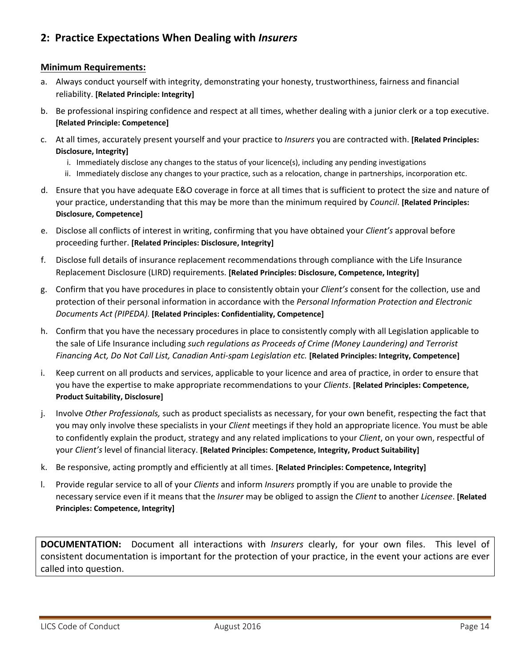# **2: Practice Expectations When Dealing with** *Insurers*

#### **Minimum Requirements:**

- a. Always conduct yourself with integrity, demonstrating your honesty, trustworthiness, fairness and financial reliability. **[Related Principle: Integrity]**
- b. Be professional inspiring confidence and respect at all times, whether dealing with a junior clerk or a top executive. **[Related Principle: Competence]**
- c. At all times, accurately present yourself and your practice to *Insurers* you are contracted with. **[Related Principles: Disclosure, Integrity]**
	- i. Immediately disclose any changes to the status of your licence(s), including any pending investigations
	- ii. Immediately disclose any changes to your practice, such as a relocation, change in partnerships, incorporation etc.
- d. Ensure that you have adequate E&O coverage in force at all times that is sufficient to protect the size and nature of your practice, understanding that this may be more than the minimum required by *Council*. **[Related Principles: Disclosure, Competence]**
- e. Disclose all conflicts of interest in writing, confirming that you have obtained your *Client's* approval before proceeding further. **[Related Principles: Disclosure, Integrity]**
- f. Disclose full details of insurance replacement recommendations through compliance with the Life Insurance Replacement Disclosure (LIRD) requirements. **[Related Principles: Disclosure, Competence, Integrity]**
- g. Confirm that you have procedures in place to consistently obtain your *Client's* consent for the collection, use and protection of their personal information in accordance with the *Personal Information Protection and Electronic Documents Act (PIPEDA).* **[Related Principles: Confidentiality, Competence]**
- h. Confirm that you have the necessary procedures in place to consistently comply with all Legislation applicable to the sale of Life Insurance including *such regulations as Proceeds of Crime (Money Laundering) and Terrorist Financing Act, Do Not Call List, Canadian Anti-spam Legislation etc.* **[Related Principles: Integrity, Competence]**
- i. Keep current on all products and services, applicable to your licence and area of practice, in order to ensure that you have the expertise to make appropriate recommendations to your *Clients*. **[Related Principles: Competence, Product Suitability, Disclosure]**
- j. Involve *Other Professionals,* such as product specialists as necessary, for your own benefit, respecting the fact that you may only involve these specialists in your *Client* meetings if they hold an appropriate licence. You must be able to confidently explain the product, strategy and any related implications to your *Client*, on your own, respectful of your *Client's* level of financial literacy. **[Related Principles: Competence, Integrity, Product Suitability]**
- k. Be responsive, acting promptly and efficiently at all times. **[Related Principles: Competence, Integrity]**
- l. Provide regular service to all of your *Clients* and inform *Insurers* promptly if you are unable to provide the necessary service even if it means that the *Insurer* may be obliged to assign the *Client* to another *Licensee*. **[Related Principles: Competence, Integrity]**

**DOCUMENTATION:** Document all interactions with *Insurers* clearly, for your own files. This level of consistent documentation is important for the protection of your practice, in the event your actions are ever called into question.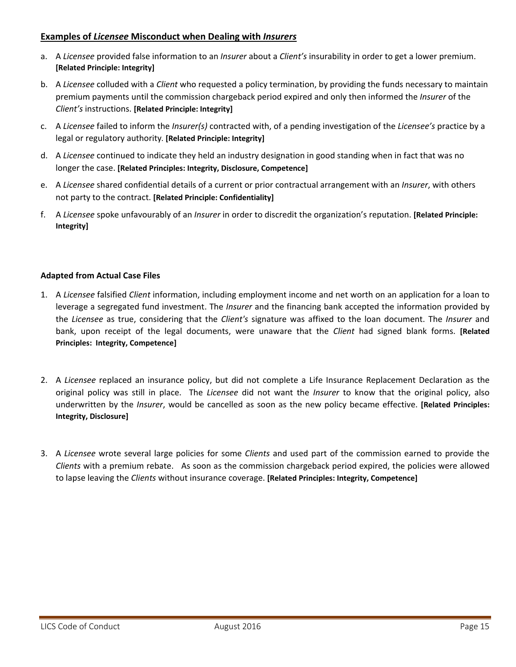#### **Examples of** *Licensee* **Misconduct when Dealing with** *Insurers*

- a. A *Licensee* provided false information to an *Insurer* about a *Client's* insurability in order to get a lower premium. **[Related Principle: Integrity]**
- b. A *Licensee* colluded with a *Client* who requested a policy termination, by providing the funds necessary to maintain premium payments until the commission chargeback period expired and only then informed the *Insurer* of the *Client's* instructions. **[Related Principle: Integrity]**
- c. A *Licensee* failed to inform the *Insurer(s)* contracted with, of a pending investigation of the *Licensee's* practice by a legal or regulatory authority*.* **[Related Principle: Integrity]**
- d. A *Licensee* continued to indicate they held an industry designation in good standing when in fact that was no longer the case. **[Related Principles: Integrity, Disclosure, Competence]**
- e. A *Licensee* shared confidential details of a current or prior contractual arrangement with an *Insurer*, with others not party to the contract. **[Related Principle: Confidentiality]**
- f. A *Licensee* spoke unfavourably of an *Insurer* in order to discredit the organization's reputation. **[Related Principle: Integrity]**

#### **Adapted from Actual Case Files**

- 1. A *Licensee* falsified *Client* information, including employment income and net worth on an application for a loan to leverage a segregated fund investment. The *Insurer* and the financing bank accepted the information provided by the *Licensee* as true, considering that the *Client's* signature was affixed to the loan document. The *Insurer* and bank, upon receipt of the legal documents, were unaware that the *Client* had signed blank forms. **[Related Principles: Integrity, Competence]**
- 2. A *Licensee* replaced an insurance policy, but did not complete a Life Insurance Replacement Declaration as the original policy was still in place. The *Licensee* did not want the *Insurer* to know that the original policy, also underwritten by the *Insurer*, would be cancelled as soon as the new policy became effective. **[Related Principles: Integrity, Disclosure]**
- 3. A *Licensee* wrote several large policies for some *Clients* and used part of the commission earned to provide the *Clients* with a premium rebate. As soon as the commission chargeback period expired, the policies were allowed to lapse leaving the *Clients* without insurance coverage. **[Related Principles: Integrity, Competence]**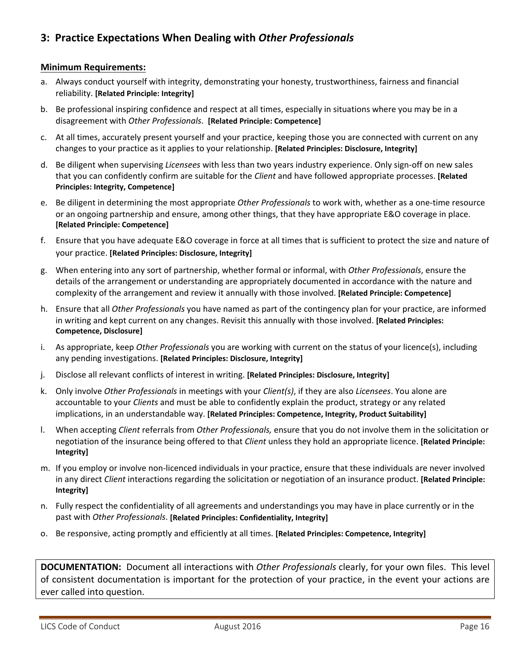# **3: Practice Expectations When Dealing with** *Other Professionals*

#### **Minimum Requirements:**

- a. Always conduct yourself with integrity, demonstrating your honesty, trustworthiness, fairness and financial reliability. **[Related Principle: Integrity]**
- b. Be professional inspiring confidence and respect at all times, especially in situations where you may be in a disagreement with *Other Professionals*. **[Related Principle: Competence]**
- c. At all times, accurately present yourself and your practice, keeping those you are connected with current on any changes to your practice as it applies to your relationship. **[Related Principles: Disclosure, Integrity]**
- d. Be diligent when supervising *Licensees* with less than two years industry experience. Only sign-off on new sales that you can confidently confirm are suitable for the *Client* and have followed appropriate processes. **[Related Principles: Integrity, Competence]**
- e. Be diligent in determining the most appropriate *Other Professionals* to work with, whether as a one-time resource or an ongoing partnership and ensure, among other things, that they have appropriate E&O coverage in place. **[Related Principle: Competence]**
- f. Ensure that you have adequate E&O coverage in force at all times that is sufficient to protect the size and nature of your practice. **[Related Principles: Disclosure, Integrity]**
- g. When entering into any sort of partnership, whether formal or informal, with *Other Professionals*, ensure the details of the arrangement or understanding are appropriately documented in accordance with the nature and complexity of the arrangement and review it annually with those involved. **[Related Principle: Competence]**
- h. Ensure that all *Other Professionals* you have named as part of the contingency plan for your practice, are informed in writing and kept current on any changes. Revisit this annually with those involved. **[Related Principles: Competence, Disclosure]**
- i. As appropriate, keep *Other Professionals* you are working with current on the status of your licence(s), including any pending investigations. **[Related Principles: Disclosure, Integrity]**
- j. Disclose all relevant conflicts of interest in writing. **[Related Principles: Disclosure, Integrity]**
- k. Only involve *Other Professionals* in meetings with your *Client(s)*, if they are also *Licensees*. You alone are accountable to your *Clients* and must be able to confidently explain the product, strategy or any related implications, in an understandable way. **[Related Principles: Competence, Integrity, Product Suitability]**
- l. When accepting *Client* referrals from *Other Professionals,* ensure that you do not involve them in the solicitation or negotiation of the insurance being offered to that *Client* unless they hold an appropriate licence. **[Related Principle: Integrity]**
- m. If you employ or involve non-licenced individuals in your practice, ensure that these individuals are never involved in any direct *Client* interactions regarding the solicitation or negotiation of an insurance product. **[Related Principle: Integrity]**
- n. Fully respect the confidentiality of all agreements and understandings you may have in place currently or in the past with *Other Professionals*. **[Related Principles: Confidentiality, Integrity]**
- o. Be responsive, acting promptly and efficiently at all times. **[Related Principles: Competence, Integrity]**

**DOCUMENTATION:** Document all interactions with *Other Professionals* clearly, for your own files. This level of consistent documentation is important for the protection of your practice, in the event your actions are ever called into question.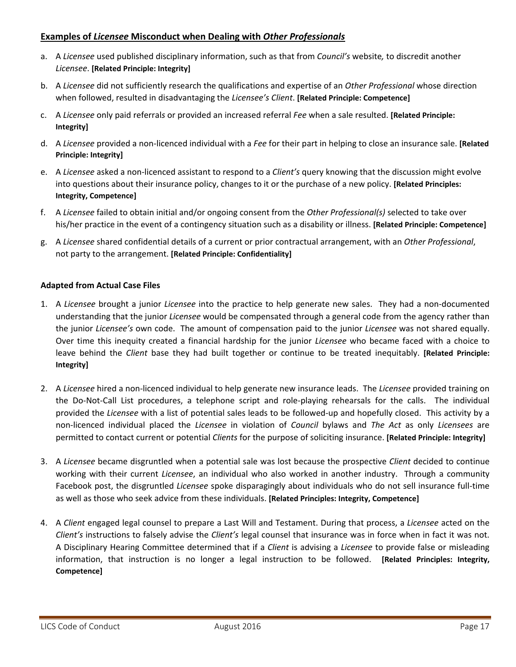#### **Examples of** *Licensee* **Misconduct when Dealing with** *Other Professionals*

- a. A *Licensee* used published disciplinary information, such as that from *Council's* website*,* to discredit another *Licensee*. **[Related Principle: Integrity]**
- b. A *Licensee* did not sufficiently research the qualifications and expertise of an *Other Professional* whose direction when followed, resulted in disadvantaging the *Licensee's Client*. **[Related Principle: Competence]**
- c. A *Licensee* only paid referral*s* or provided an increased referral *Fee* when a sale resulted. **[Related Principle: Integrity]**
- d. A *Licensee* provided a non-licenced individual with a *Fee* for their part in helping to close an insurance sale. **[Related Principle: Integrity]**
- e. A *Licensee* asked a non-licenced assistant to respond to a *Client's* query knowing that the discussion might evolve into questions about their insurance policy, changes to it or the purchase of a new policy. **[Related Principles: Integrity, Competence]**
- f. A *Licensee* failed to obtain initial and/or ongoing consent from the *Other Professional(s)* selected to take over his/her practice in the event of a contingency situation such as a disability or illness. **[Related Principle: Competence]**
- g. A *Licensee* shared confidential details of a current or prior contractual arrangement, with an *Other Professional*, not party to the arrangement. **[Related Principle: Confidentiality]**

#### **Adapted from Actual Case Files**

- 1. A *Licensee* brought a junior *Licensee* into the practice to help generate new sales. They had a non-documented understanding that the junior *Licensee* would be compensated through a general code from the agency rather than the junior *Licensee's* own code. The amount of compensation paid to the junior *Licensee* was not shared equally. Over time this inequity created a financial hardship for the junior *Licensee* who became faced with a choice to leave behind the *Client* base they had built together or continue to be treated inequitably. **[Related Principle: Integrity]**
- 2. A *Licensee* hired a non-licenced individual to help generate new insurance leads. The *Licensee* provided training on the Do-Not-Call List procedures, a telephone script and role-playing rehearsals for the calls. The individual provided the *Licensee* with a list of potential sales leads to be followed-up and hopefully closed. This activity by a non-licenced individual placed the *Licensee* in violation of *Council* bylaws and *The Act* as only *Licensees* are permitted to contact current or potential *Clients* for the purpose of soliciting insurance. **[Related Principle: Integrity]**
- 3. A *Licensee* became disgruntled when a potential sale was lost because the prospective *Client* decided to continue working with their current *Licensee*, an individual who also worked in another industry. Through a community Facebook post, the disgruntled *Licensee* spoke disparagingly about individuals who do not sell insurance full-time as well as those who seek advice from these individuals. **[Related Principles: Integrity, Competence]**
- 4. A *Client* engaged legal counsel to prepare a Last Will and Testament. During that process, a *Licensee* acted on the *Client's* instructions to falsely advise the *Client's* legal counsel that insurance was in force when in fact it was not. A Disciplinary Hearing Committee determined that if a *Client* is advising a *Licensee* to provide false or misleading information, that instruction is no longer a legal instruction to be followed. **[Related Principles: Integrity, Competence]**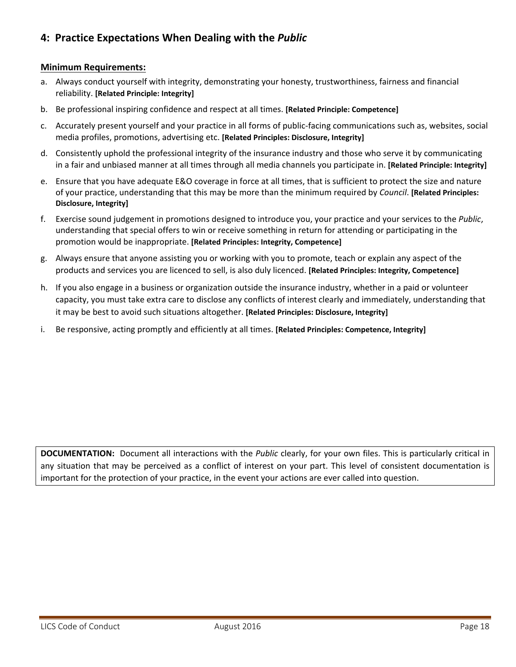# **4: Practice Expectations When Dealing with the** *Public*

#### **Minimum Requirements:**

- a. Always conduct yourself with integrity, demonstrating your honesty, trustworthiness, fairness and financial reliability. **[Related Principle: Integrity]**
- b. Be professional inspiring confidence and respect at all times. **[Related Principle: Competence]**
- c. Accurately present yourself and your practice in all forms of public-facing communications such as, websites, social media profiles, promotions, advertising etc. **[Related Principles: Disclosure, Integrity]**
- d. Consistently uphold the professional integrity of the insurance industry and those who serve it by communicating in a fair and unbiased manner at all times through all media channels you participate in. **[Related Principle: Integrity]**
- e. Ensure that you have adequate E&O coverage in force at all times, that is sufficient to protect the size and nature of your practice, understanding that this may be more than the minimum required by *Council*. **[Related Principles: Disclosure, Integrity]**
- f. Exercise sound judgement in promotions designed to introduce you, your practice and your services to the *Public*, understanding that special offers to win or receive something in return for attending or participating in the promotion would be inappropriate. **[Related Principles: Integrity, Competence]**
- g. Always ensure that anyone assisting you or working with you to promote, teach or explain any aspect of the products and services you are licenced to sell, is also duly licenced. **[Related Principles: Integrity, Competence]**
- h. If you also engage in a business or organization outside the insurance industry, whether in a paid or volunteer capacity, you must take extra care to disclose any conflicts of interest clearly and immediately, understanding that it may be best to avoid such situations altogether. **[Related Principles: Disclosure, Integrity]**
- i. Be responsive, acting promptly and efficiently at all times. **[Related Principles: Competence, Integrity]**

**DOCUMENTATION:** Document all interactions with the *Public* clearly, for your own files. This is particularly critical in any situation that may be perceived as a conflict of interest on your part. This level of consistent documentation is important for the protection of your practice, in the event your actions are ever called into question.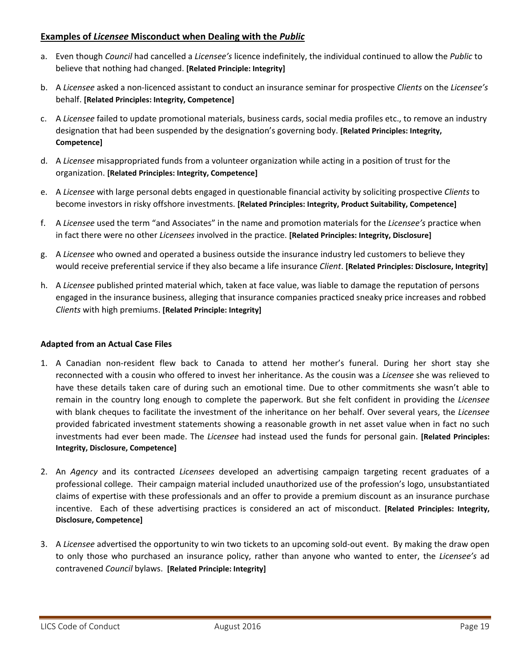#### **Examples of** *Licensee* **Misconduct when Dealing with the** *Public*

- a. Even though *Council* had cancelled a *Licensee's* licence indefinitely, the individual *c*ontinued to allow the *Public* to believe that nothing had changed. **[Related Principle: Integrity]**
- b. A *Licensee* asked a non-licenced assistant to conduct an insurance seminar for prospective *Clients* on the *Licensee's*  behalf. **[Related Principles: Integrity, Competence]**
- c. A *Licensee* failed to update promotional materials, business cards, social media profiles etc., to remove an industry designation that had been suspended by the designation's governing body. **[Related Principles: Integrity, Competence]**
- d. A *Licensee* misappropriated funds from a volunteer organization while acting in a position of trust for the organization. **[Related Principles: Integrity, Competence]**
- e. A *Licensee* with large personal debts engaged in questionable financial activity by soliciting prospective *Clients* to become investors in risky offshore investments. **[Related Principles: Integrity, Product Suitability, Competence]**
- f. A *Licensee* used the term "and Associates" in the name and promotion materials for the *Licensee's* practice when in fact there were no other *Licensees* involved in the practice. **[Related Principles: Integrity, Disclosure]**
- g. A *Licensee* who owned and operated a business outside the insurance industry led customers to believe they would receive preferential service if they also became a life insurance *Client*. **[Related Principles: Disclosure, Integrity]**
- h. A *Licensee* published printed material which, taken at face value, was liable to damage the reputation of persons engaged in the insurance business, alleging that insurance companies practiced sneaky price increases and robbed *Clients* with high premiums. **[Related Principle: Integrity]**

#### **Adapted from an Actual Case Files**

- 1. A Canadian non-resident flew back to Canada to attend her mother's funeral. During her short stay she reconnected with a cousin who offered to invest her inheritance. As the cousin was a *Licensee* she was relieved to have these details taken care of during such an emotional time. Due to other commitments she wasn't able to remain in the country long enough to complete the paperwork. But she felt confident in providing the *Licensee* with blank cheques to facilitate the investment of the inheritance on her behalf. Over several years, the *Licensee* provided fabricated investment statements showing a reasonable growth in net asset value when in fact no such investments had ever been made. The *Licensee* had instead used the funds for personal gain. **[Related Principles: Integrity, Disclosure, Competence]**
- 2. An *Agency* and its contracted *Licensees* developed an advertising campaign targeting recent graduates of a professional college. Their campaign material included unauthorized use of the profession's logo, unsubstantiated claims of expertise with these professionals and an offer to provide a premium discount as an insurance purchase incentive. Each of these advertising practices is considered an act of misconduct. **[Related Principles: Integrity, Disclosure, Competence]**
- 3. A *Licensee* advertised the opportunity to win two tickets to an upcoming sold-out event. By making the draw open to only those who purchased an insurance policy, rather than anyone who wanted to enter, the *Licensee's* ad contravened *Council* bylaws. **[Related Principle: Integrity]**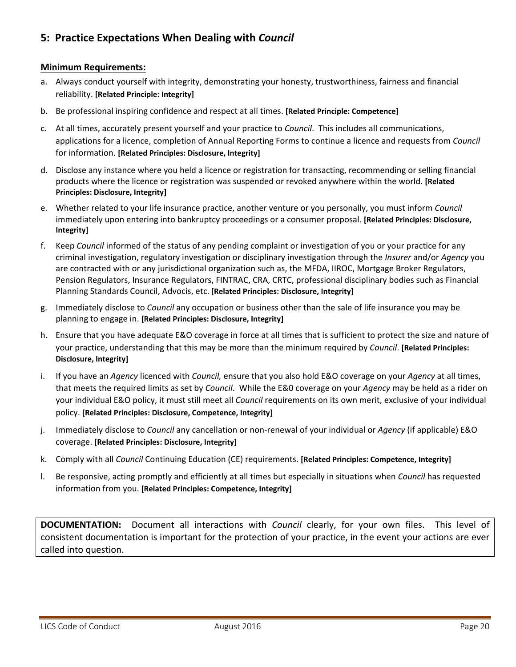# **5: Practice Expectations When Dealing with** *Council*

#### **Minimum Requirements:**

- a. Always conduct yourself with integrity, demonstrating your honesty, trustworthiness, fairness and financial reliability. **[Related Principle: Integrity]**
- b. Be professional inspiring confidence and respect at all times. **[Related Principle: Competence]**
- c. At all times, accurately present yourself and your practice to *Council*. This includes all communications, applications for a licence, completion of Annual Reporting Forms to continue a licence and requests from *Council* for information. **[Related Principles: Disclosure, Integrity]**
- d. Disclose any instance where you held a licence or registration for transacting, recommending or selling financial products where the licence or registration was suspended or revoked anywhere within the world. **[Related Principles: Disclosure, Integrity]**
- e. Whether related to your life insurance practice, another venture or you personally, you must inform *Council* immediately upon entering into bankruptcy proceedings or a consumer proposal. **[Related Principles: Disclosure, Integrity]**
- f. Keep *Council* informed of the status of any pending complaint or investigation of you or your practice for any criminal investigation, regulatory investigation or disciplinary investigation through the *Insurer* and/or *Agency* you are contracted with or any jurisdictional organization such as, the MFDA, IIROC, Mortgage Broker Regulators, Pension Regulators, Insurance Regulators, FINTRAC, CRA, CRTC, professional disciplinary bodies such as Financial Planning Standards Council, Advocis, etc. **[Related Principles: Disclosure, Integrity]**
- g. Immediately disclose to *Council* any occupation or business other than the sale of life insurance you may be planning to engage in. **[Related Principles: Disclosure, Integrity]**
- h. Ensure that you have adequate E&O coverage in force at all times that is sufficient to protect the size and nature of your practice, understanding that this may be more than the minimum required by *Council*. **[Related Principles: Disclosure, Integrity]**
- i. If you have an *Agency* licenced with *Council,* ensure that you also hold E&O coverage on your *Agency* at all times, that meets the required limits as set by *Council*. While the E&0 coverage on your *Agency* may be held as a rider on your individual E&O policy, it must still meet all *Council* requirements on its own merit, exclusive of your individual policy. **[Related Principles: Disclosure, Competence, Integrity]**
- j. Immediately disclose to *Council* any cancellation or non-renewal of your individual or *Agency* (if applicable) E&O coverage. **[Related Principles: Disclosure, Integrity]**
- k. Comply with all *Council* Continuing Education (CE) requirements. **[Related Principles: Competence, Integrity]**
- l. Be responsive, acting promptly and efficiently at all times but especially in situations when *Council* has requested information from you. **[Related Principles: Competence, Integrity]**

**DOCUMENTATION:** Document all interactions with *Council* clearly, for your own files. This level of consistent documentation is important for the protection of your practice, in the event your actions are ever called into question.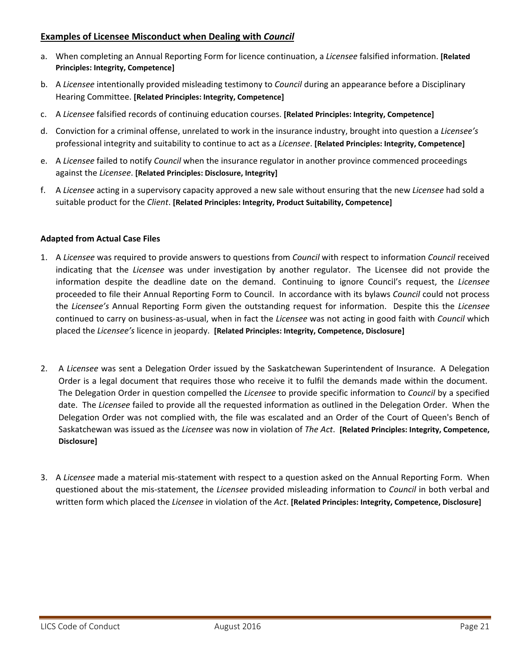#### **Examples of Licensee Misconduct when Dealing with** *Council*

- a. When completing an Annual Reporting Form for licence continuation, a *Licensee* falsified information. **[Related Principles: Integrity, Competence]**
- b. A *Licensee* intentionally provided misleading testimony to *Council* during an appearance before a Disciplinary Hearing Committee. **[Related Principles: Integrity, Competence]**
- c. A *Licensee* falsified records of continuing education courses. **[Related Principles: Integrity, Competence]**
- d. Conviction for a criminal offense, unrelated to work in the insurance industry, brought into question a *Licensee's*  professional integrity and suitability to continue to act as a *Licensee*. **[Related Principles: Integrity, Competence]**
- e. A *Licensee* failed to notify *Council* when the insurance regulator in another province commenced proceedings against the *Licensee*. **[Related Principles: Disclosure, Integrity]**
- f. A *Licensee* acting in a supervisory capacity approved a new sale without ensuring that the new *Licensee* had sold a suitable product for the *Client*. **[Related Principles: Integrity, Product Suitability, Competence]**

#### **Adapted from Actual Case Files**

- 1. A *Licensee* was required to provide answers to questions from *Council* with respect to information *Council* received indicating that the *Licensee* was under investigation by another regulator. The Licensee did not provide the information despite the deadline date on the demand. Continuing to ignore Council's request, the *Licensee* proceeded to file their Annual Reporting Form to Council. In accordance with its bylaws *Council* could not process the *Licensee's* Annual Reporting Form given the outstanding request for information. Despite this the *Licensee* continued to carry on business-as-usual, when in fact the *Licensee* was not acting in good faith with *Council* which placed the *Licensee's* licence in jeopardy. **[Related Principles: Integrity, Competence, Disclosure]**
- 2. A *Licensee* was sent a Delegation Order issued by the Saskatchewan Superintendent of Insurance. A Delegation Order is a legal document that requires those who receive it to fulfil the demands made within the document. The Delegation Order in question compelled the *Licensee* to provide specific information to *Council* by a specified date. The *Licensee* failed to provide all the requested information as outlined in the Delegation Order. When the Delegation Order was not complied with, the file was escalated and an Order of the Court of Queen's Bench of Saskatchewan was issued as the *Licensee* was now in violation of *The Act*. **[Related Principles: Integrity, Competence, Disclosure]**
- 3. A *Licensee* made a material mis-statement with respect to a question asked on the Annual Reporting Form. When questioned about the mis-statement, the *Licensee* provided misleading information to *Council* in both verbal and written form which placed the *Licensee* in violation of the *Act*. **[Related Principles: Integrity, Competence, Disclosure]**